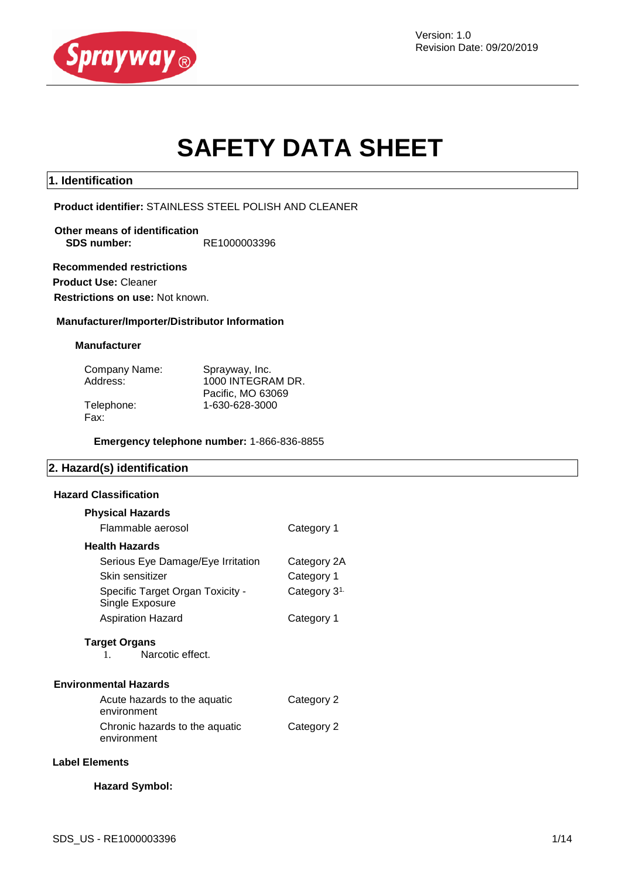

Version: 1.0 Revision Date: 09/20/2019

# **SAFETY DATA SHEET**

#### **1. Identification**

**Product identifier:** STAINLESS STEEL POLISH AND CLEANER

**Other means of identification SDS number:** RE1000003396

 **Recommended restrictions Product Use:** Cleaner **Restrictions on use:** Not known.

# **Manufacturer/Importer/Distributor Information**

#### **Manufacturer**

| Company Name:<br>Address: | Sprayway, Inc.<br>1000 INTEGRAM DR. |
|---------------------------|-------------------------------------|
|                           | Pacific, MO 63069                   |
| Telephone:                | 1-630-628-3000                      |
| Fax:                      |                                     |

**Emergency telephone number:** 1-866-836-8855

#### **2. Hazard(s) identification**

#### **Hazard Classification**

| <b>Physical Hazards</b>                             |                          |
|-----------------------------------------------------|--------------------------|
| Flammable aerosol                                   | Category 1               |
| <b>Health Hazards</b>                               |                          |
| Serious Eye Damage/Eye Irritation                   | Category 2A              |
| Skin sensitizer                                     | Category 1               |
| Specific Target Organ Toxicity -<br>Single Exposure | Category 3 <sup>1.</sup> |
| Aspiration Hazard                                   | Category 1               |
| <b>Target Organs</b><br>Narcotic effect.<br>1.      |                          |
| <b>Environmental Hazards</b>                        |                          |
| Acute hazards to the aquatic<br>environment         | Category 2               |
| Chronic hazards to the aquatic<br>environment       | Category 2               |
|                                                     |                          |

#### **Label Elements**

#### **Hazard Symbol:**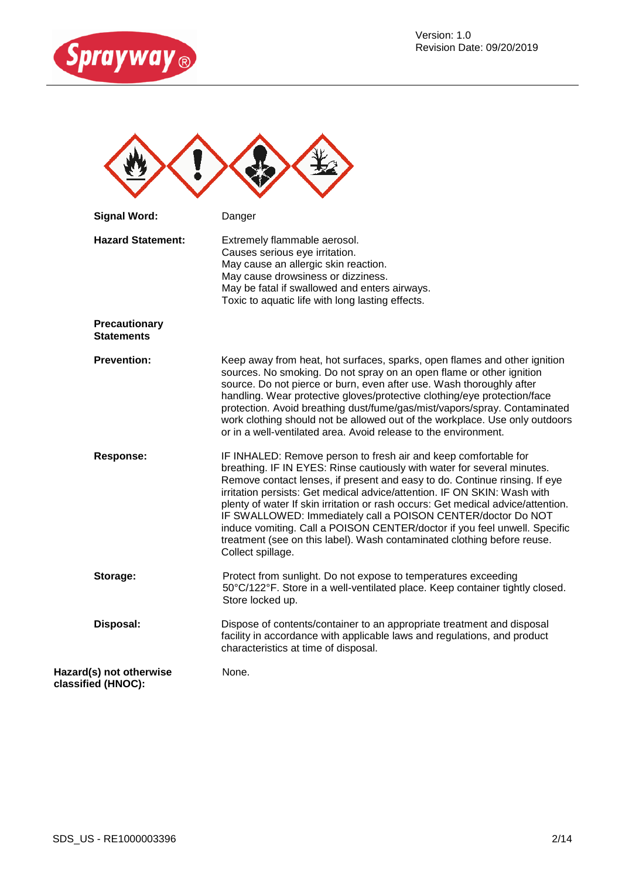



| <b>Signal Word:</b>                           | Danger                                                                                                                                                                                                                                                                                                                                                                                                                                                                                                                                                                                                                                |
|-----------------------------------------------|---------------------------------------------------------------------------------------------------------------------------------------------------------------------------------------------------------------------------------------------------------------------------------------------------------------------------------------------------------------------------------------------------------------------------------------------------------------------------------------------------------------------------------------------------------------------------------------------------------------------------------------|
| <b>Hazard Statement:</b>                      | Extremely flammable aerosol.<br>Causes serious eye irritation.<br>May cause an allergic skin reaction.<br>May cause drowsiness or dizziness.<br>May be fatal if swallowed and enters airways.<br>Toxic to aquatic life with long lasting effects.                                                                                                                                                                                                                                                                                                                                                                                     |
| <b>Precautionary</b><br><b>Statements</b>     |                                                                                                                                                                                                                                                                                                                                                                                                                                                                                                                                                                                                                                       |
| <b>Prevention:</b>                            | Keep away from heat, hot surfaces, sparks, open flames and other ignition<br>sources. No smoking. Do not spray on an open flame or other ignition<br>source. Do not pierce or burn, even after use. Wash thoroughly after<br>handling. Wear protective gloves/protective clothing/eye protection/face<br>protection. Avoid breathing dust/fume/gas/mist/vapors/spray. Contaminated<br>work clothing should not be allowed out of the workplace. Use only outdoors<br>or in a well-ventilated area. Avoid release to the environment.                                                                                                  |
| <b>Response:</b>                              | IF INHALED: Remove person to fresh air and keep comfortable for<br>breathing. IF IN EYES: Rinse cautiously with water for several minutes.<br>Remove contact lenses, if present and easy to do. Continue rinsing. If eye<br>irritation persists: Get medical advice/attention. IF ON SKIN: Wash with<br>plenty of water If skin irritation or rash occurs: Get medical advice/attention.<br>IF SWALLOWED: Immediately call a POISON CENTER/doctor Do NOT<br>induce vomiting. Call a POISON CENTER/doctor if you feel unwell. Specific<br>treatment (see on this label). Wash contaminated clothing before reuse.<br>Collect spillage. |
| Storage:                                      | Protect from sunlight. Do not expose to temperatures exceeding<br>50°C/122°F. Store in a well-ventilated place. Keep container tightly closed.<br>Store locked up.                                                                                                                                                                                                                                                                                                                                                                                                                                                                    |
| Disposal:                                     | Dispose of contents/container to an appropriate treatment and disposal<br>facility in accordance with applicable laws and regulations, and product<br>characteristics at time of disposal.                                                                                                                                                                                                                                                                                                                                                                                                                                            |
| Hazard(s) not otherwise<br>classified (HNOC): | None.                                                                                                                                                                                                                                                                                                                                                                                                                                                                                                                                                                                                                                 |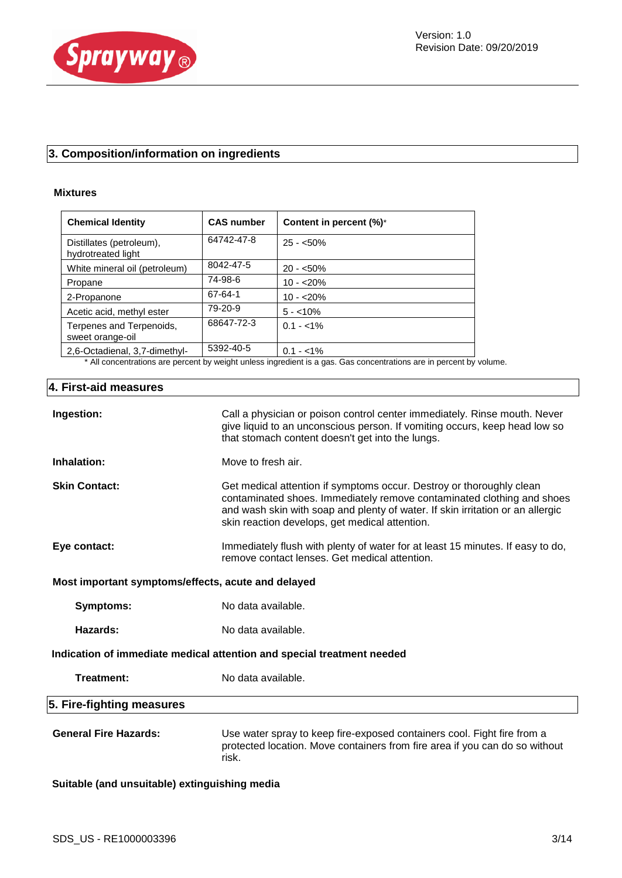

# **3. Composition/information on ingredients**

#### **Mixtures**

| <b>Chemical Identity</b>                       | <b>CAS number</b> | Content in percent (%)*                                                                                       |
|------------------------------------------------|-------------------|---------------------------------------------------------------------------------------------------------------|
| Distillates (petroleum),<br>hydrotreated light | 64742-47-8        | $25 - 50\%$                                                                                                   |
| White mineral oil (petroleum)                  | 8042-47-5         | $20 - 50\%$                                                                                                   |
| Propane                                        | 74-98-6           | $10 - 20%$                                                                                                    |
| 2-Propanone                                    | 67-64-1           | $10 - 20%$                                                                                                    |
| Acetic acid, methyl ester                      | 79-20-9           | $5 - 10\%$                                                                                                    |
| Terpenes and Terpenoids,<br>sweet orange-oil   | 68647-72-3        | $0.1 - 1\%$                                                                                                   |
| 2,6-Octadienal, 3,7-dimethyl-                  | 5392-40-5         | $0.1 - 1\%$                                                                                                   |
|                                                |                   | * All concentrations are persont by weight upless ingradiant is a gas. Cas concentrations are in persont by w |

All concentrations are percent by weight unless ingredient is a gas. Gas concentrations are in percent by volume.

# **4. First-aid measures**

| Ingestion:                                         | Call a physician or poison control center immediately. Rinse mouth. Never<br>give liquid to an unconscious person. If vomiting occurs, keep head low so<br>that stomach content doesn't get into the lungs.                                                                        |  |  |
|----------------------------------------------------|------------------------------------------------------------------------------------------------------------------------------------------------------------------------------------------------------------------------------------------------------------------------------------|--|--|
| Inhalation:                                        | Move to fresh air.                                                                                                                                                                                                                                                                 |  |  |
| <b>Skin Contact:</b>                               | Get medical attention if symptoms occur. Destroy or thoroughly clean<br>contaminated shoes. Immediately remove contaminated clothing and shoes<br>and wash skin with soap and plenty of water. If skin irritation or an allergic<br>skin reaction develops, get medical attention. |  |  |
| Eye contact:                                       | Immediately flush with plenty of water for at least 15 minutes. If easy to do,<br>remove contact lenses. Get medical attention.                                                                                                                                                    |  |  |
| Most important symptoms/effects, acute and delayed |                                                                                                                                                                                                                                                                                    |  |  |
| Symptoms:                                          | No data available.                                                                                                                                                                                                                                                                 |  |  |
| Hazards:                                           | No data available.                                                                                                                                                                                                                                                                 |  |  |
|                                                    | Indication of immediate medical attention and special treatment needed                                                                                                                                                                                                             |  |  |
| Treatment:                                         | No data available.                                                                                                                                                                                                                                                                 |  |  |
| 5. Fire-fighting measures                          |                                                                                                                                                                                                                                                                                    |  |  |
| <b>General Fire Hazards:</b>                       | Use water spray to keep fire-exposed containers cool. Fight fire from a<br>protected location. Move containers from fire area if you can do so without<br>risk.                                                                                                                    |  |  |
| Suitable (and unsuitable) extinguishing media      |                                                                                                                                                                                                                                                                                    |  |  |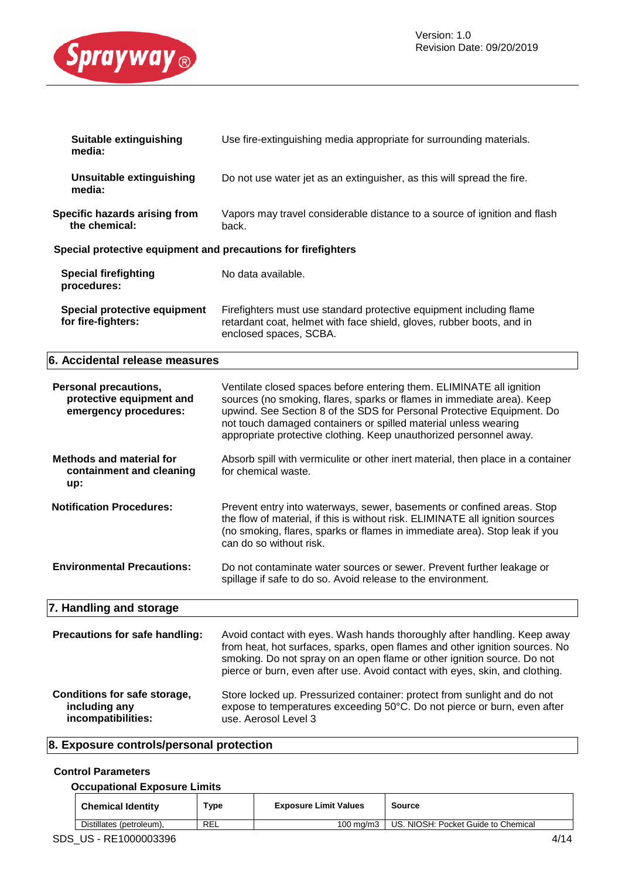

| Suitable extinguishing<br>media:                              | Use fire-extinguishing media appropriate for surrounding materials.                                                                                                    |  |  |
|---------------------------------------------------------------|------------------------------------------------------------------------------------------------------------------------------------------------------------------------|--|--|
| Unsuitable extinguishing<br>media:                            | Do not use water jet as an extinguisher, as this will spread the fire.                                                                                                 |  |  |
| <b>Specific hazards arising from</b><br>the chemical:         | Vapors may travel considerable distance to a source of ignition and flash<br>back.                                                                                     |  |  |
| Special protective equipment and precautions for firefighters |                                                                                                                                                                        |  |  |
| <b>Special firefighting</b><br>procedures:                    | No data available.                                                                                                                                                     |  |  |
| Special protective equipment<br>for fire-fighters:            | Firefighters must use standard protective equipment including flame<br>retardant coat, helmet with face shield, gloves, rubber boots, and in<br>enclosed spaces, SCBA. |  |  |

# **6. Accidental release measures**

| <b>Personal precautions,</b><br>protective equipment and<br>emergency procedures: | Ventilate closed spaces before entering them. ELIMINATE all ignition<br>sources (no smoking, flares, sparks or flames in immediate area). Keep<br>upwind. See Section 8 of the SDS for Personal Protective Equipment. Do<br>not touch damaged containers or spilled material unless wearing<br>appropriate protective clothing. Keep unauthorized personnel away. |
|-----------------------------------------------------------------------------------|-------------------------------------------------------------------------------------------------------------------------------------------------------------------------------------------------------------------------------------------------------------------------------------------------------------------------------------------------------------------|
| <b>Methods and material for</b><br>containment and cleaning<br>up:                | Absorb spill with vermiculite or other inert material, then place in a container<br>for chemical waste.                                                                                                                                                                                                                                                           |
| <b>Notification Procedures:</b>                                                   | Prevent entry into waterways, sewer, basements or confined areas. Stop<br>the flow of material, if this is without risk. ELIMINATE all ignition sources<br>(no smoking, flares, sparks or flames in immediate area). Stop leak if you<br>can do so without risk.                                                                                                  |
| <b>Environmental Precautions:</b>                                                 | Do not contaminate water sources or sewer. Prevent further leakage or<br>spillage if safe to do so. Avoid release to the environment.                                                                                                                                                                                                                             |
| 7. Handling and storage                                                           |                                                                                                                                                                                                                                                                                                                                                                   |
| Precautions for safe handling:                                                    | Avoid contact with eyes. Wash hands thoroughly after handling. Keep away<br>from heat, hot surfaces, sparks, open flames and other ignition sources. No<br>smoking. Do not spray on an open flame or other ignition source. Do not<br>pierce or burn, even after use. Avoid contact with eyes, skin, and clothing.                                                |

| Conditions for safe storage, | Store locked up. Pressurized container: protect from sunlight and do not |
|------------------------------|--------------------------------------------------------------------------|
| including any                | expose to temperatures exceeding 50°C. Do not pierce or burn, even after |
| incompatibilities:           | use. Aerosol Level 3                                                     |

# **8. Exposure controls/personal protection**

#### **Control Parameters**

|  | <b>Occupational Exposure Limits</b> |  |
|--|-------------------------------------|--|
|  |                                     |  |

| <b>Chemical Identity</b> | Туре | <b>Exposure Limit Values</b> | Source                              |      |
|--------------------------|------|------------------------------|-------------------------------------|------|
| Distillates (petroleum), | REL  | $100 \text{ ma/m}$ 3         | US. NIOSH: Pocket Guide to Chemical |      |
| SDS US - RE1000003396    |      |                              |                                     | 4/14 |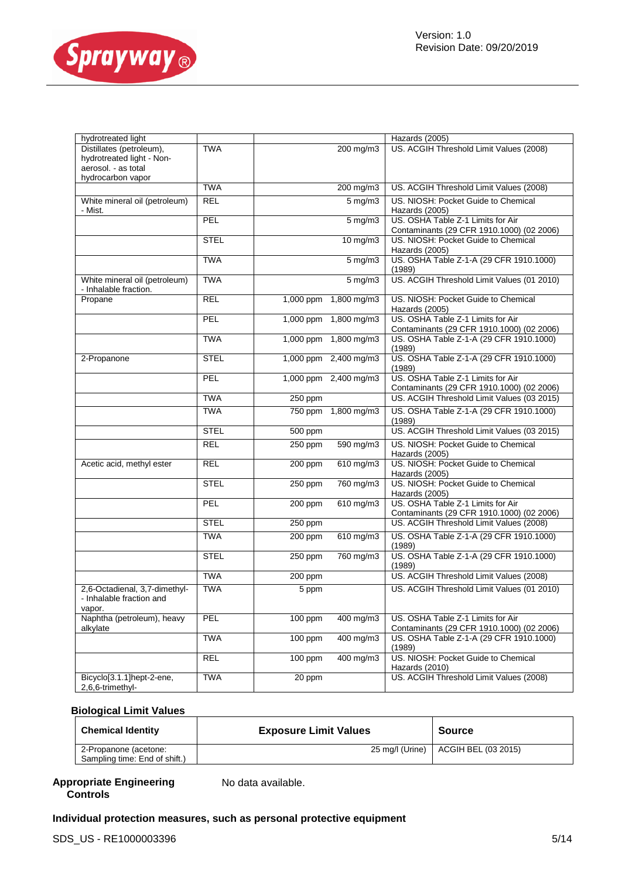

| hydrotreated light                                                  |             | Hazards (2005) |                               |                                                                                |
|---------------------------------------------------------------------|-------------|----------------|-------------------------------|--------------------------------------------------------------------------------|
| Distillates (petroleum),                                            | <b>TWA</b>  |                | 200 mg/m3                     | US. ACGIH Threshold Limit Values (2008)                                        |
| hydrotreated light - Non-                                           |             |                |                               |                                                                                |
| aerosol. - as total                                                 |             |                |                               |                                                                                |
| hydrocarbon vapor                                                   | <b>TWA</b>  |                | $200$ mg/m3                   | US. ACGIH Threshold Limit Values (2008)                                        |
| White mineral oil (petroleum)                                       | <b>REL</b>  |                | $5 \overline{\mathrm{mg}}$ m3 | US. NIOSH: Pocket Guide to Chemical                                            |
| - Mist.                                                             |             |                |                               | Hazards (2005)                                                                 |
|                                                                     | PEL         |                | $5 \,\mathrm{mg/m}$           | US. OSHA Table Z-1 Limits for Air                                              |
|                                                                     |             |                |                               | Contaminants (29 CFR 1910.1000) (02 2006)                                      |
|                                                                     | <b>STEL</b> |                | $10 \text{ mg/m}$             | US. NIOSH: Pocket Guide to Chemical                                            |
|                                                                     | <b>TWA</b>  |                | $5$ mg/m $3$                  | Hazards (2005)<br>US. OSHA Table Z-1-A (29 CFR 1910.1000)                      |
|                                                                     |             |                |                               | (1989)                                                                         |
| White mineral oil (petroleum)<br>- Inhalable fraction.              | <b>TWA</b>  |                | $5$ mg/m $3$                  | US. ACGIH Threshold Limit Values (01 2010)                                     |
| Propane                                                             | <b>REL</b>  | 1,000 ppm      | 1,800 mg/m3                   | US. NIOSH: Pocket Guide to Chemical                                            |
|                                                                     |             |                |                               | Hazards (2005)                                                                 |
|                                                                     | PEL         | 1,000 ppm      | 1,800 mg/m3                   | US. OSHA Table Z-1 Limits for Air                                              |
|                                                                     |             |                |                               | Contaminants (29 CFR 1910.1000) (02 2006)                                      |
|                                                                     | <b>TWA</b>  | 1,000 ppm      | 1,800 mg/m3                   | US. OSHA Table Z-1-A (29 CFR 1910.1000)<br>(1989)                              |
| 2-Propanone                                                         | <b>STEL</b> | 1,000 ppm      | $2,400$ mg/m3                 | US. OSHA Table Z-1-A (29 CFR 1910.1000)                                        |
|                                                                     |             |                |                               | (1989)                                                                         |
|                                                                     | PEL         | 1,000 ppm      | 2,400 mg/m3                   | US. OSHA Table Z-1 Limits for Air                                              |
|                                                                     |             |                |                               | Contaminants (29 CFR 1910.1000) (02 2006)                                      |
|                                                                     | <b>TWA</b>  | 250 ppm        |                               | US. ACGIH Threshold Limit Values (03 2015)                                     |
|                                                                     | <b>TWA</b>  | 750 ppm        | 1,800 mg/m3                   | US. OSHA Table Z-1-A (29 CFR 1910.1000)<br>(1989)                              |
|                                                                     | <b>STEL</b> | 500 ppm        |                               | US. ACGIH Threshold Limit Values (03 2015)                                     |
|                                                                     | <b>REL</b>  | 250 ppm        | 590 mg/m3                     | US. NIOSH: Pocket Guide to Chemical<br>Hazards (2005)                          |
| Acetic acid, methyl ester                                           | <b>REL</b>  | 200 ppm        | $610$ mg/m3                   | US. NIOSH: Pocket Guide to Chemical                                            |
|                                                                     |             |                |                               | Hazards (2005)                                                                 |
|                                                                     | <b>STEL</b> | 250 ppm        | 760 mg/m3                     | US. NIOSH: Pocket Guide to Chemical<br>Hazards (2005)                          |
|                                                                     | PEL         | 200 ppm        | 610 mg/m3                     | US. OSHA Table Z-1 Limits for Air                                              |
|                                                                     |             |                |                               | Contaminants (29 CFR 1910.1000) (02 2006)                                      |
|                                                                     | <b>STEL</b> | 250 ppm        |                               | US. ACGIH Threshold Limit Values (2008)                                        |
|                                                                     | <b>TWA</b>  | 200 ppm        | 610 mg/m3                     | US. OSHA Table Z-1-A (29 CFR 1910.1000)<br>(1989)                              |
|                                                                     | <b>STEL</b> | 250 ppm        | 760 mg/m3                     | US. OSHA Table Z-1-A (29 CFR 1910.1000)                                        |
|                                                                     |             |                |                               | (1989)                                                                         |
|                                                                     | <b>TWA</b>  | 200 ppm        |                               | US. ACGIH Threshold Limit Values (2008)                                        |
| 2,6-Octadienal, 3,7-dimethyl-<br>- Inhalable fraction and<br>vapor. | <b>TWA</b>  | 5 ppm          |                               | US. ACGIH Threshold Limit Values (01 2010)                                     |
| Naphtha (petroleum), heavy<br>alkylate                              | PEL         | 100 ppm        | 400 mg/m3                     | US. OSHA Table Z-1 Limits for Air<br>Contaminants (29 CFR 1910.1000) (02 2006) |
|                                                                     | <b>TWA</b>  | 100 ppm        | 400 mg/m3                     | US. OSHA Table Z-1-A (29 CFR 1910.1000)<br>(1989)                              |
|                                                                     | <b>REL</b>  | $100$ ppm      | $400 \text{ mg/m}$            | US. NIOSH: Pocket Guide to Chemical<br>Hazards (2010)                          |
| Bicyclo[3.1.1]hept-2-ene,<br>2,6,6-trimethyl-                       | <b>TWA</b>  | $20$ ppm       |                               | US. ACGIH Threshold Limit Values (2008)                                        |

#### **Biological Limit Values**

| <b>Chemical Identity</b>                               | <b>Exposure Limit Values</b> | <b>Source</b>                         |
|--------------------------------------------------------|------------------------------|---------------------------------------|
| 2-Propanone (acetone:<br>Sampling time: End of shift.) |                              | 25 mg/l (Urine)   ACGIH BEL (03 2015) |

#### **Appropriate Engineering Controls**

No data available.

## **Individual protection measures, such as personal protective equipment**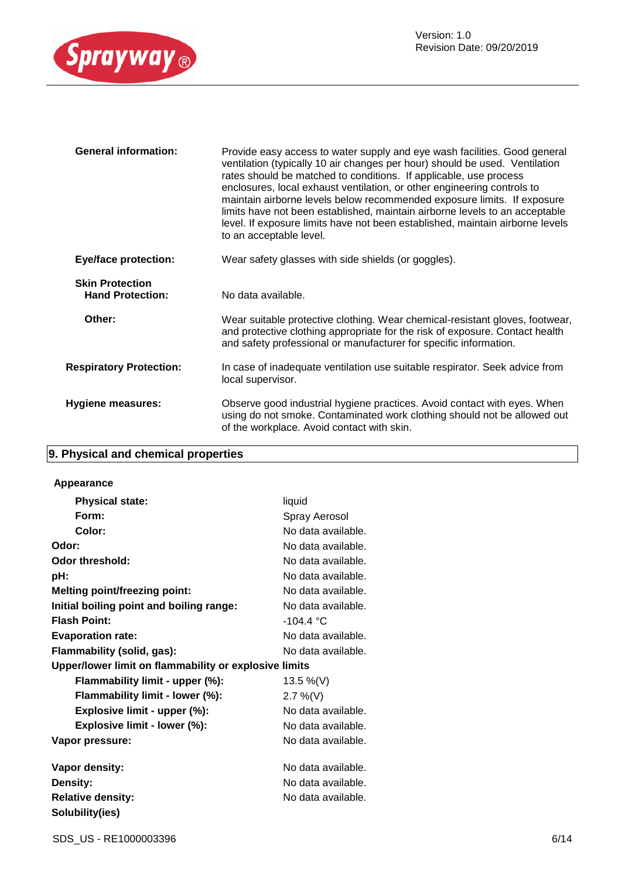

| <b>General information:</b>                       | Provide easy access to water supply and eye wash facilities. Good general<br>ventilation (typically 10 air changes per hour) should be used. Ventilation<br>rates should be matched to conditions. If applicable, use process<br>enclosures, local exhaust ventilation, or other engineering controls to<br>maintain airborne levels below recommended exposure limits. If exposure<br>limits have not been established, maintain airborne levels to an acceptable<br>level. If exposure limits have not been established, maintain airborne levels<br>to an acceptable level. |
|---------------------------------------------------|--------------------------------------------------------------------------------------------------------------------------------------------------------------------------------------------------------------------------------------------------------------------------------------------------------------------------------------------------------------------------------------------------------------------------------------------------------------------------------------------------------------------------------------------------------------------------------|
| <b>Eye/face protection:</b>                       | Wear safety glasses with side shields (or goggles).                                                                                                                                                                                                                                                                                                                                                                                                                                                                                                                            |
| <b>Skin Protection</b><br><b>Hand Protection:</b> | No data available.                                                                                                                                                                                                                                                                                                                                                                                                                                                                                                                                                             |
| Other:                                            | Wear suitable protective clothing. Wear chemical-resistant gloves, footwear,<br>and protective clothing appropriate for the risk of exposure. Contact health<br>and safety professional or manufacturer for specific information.                                                                                                                                                                                                                                                                                                                                              |
| <b>Respiratory Protection:</b>                    | In case of inadequate ventilation use suitable respirator. Seek advice from<br>local supervisor.                                                                                                                                                                                                                                                                                                                                                                                                                                                                               |
| <b>Hygiene measures:</b>                          | Observe good industrial hygiene practices. Avoid contact with eyes. When<br>using do not smoke. Contaminated work clothing should not be allowed out<br>of the workplace. Avoid contact with skin.                                                                                                                                                                                                                                                                                                                                                                             |

# **9. Physical and chemical properties**

#### **Appearance**

| <b>Physical state:</b>                                | liquid             |
|-------------------------------------------------------|--------------------|
| Form:                                                 | Spray Aerosol      |
| Color:                                                | No data available. |
| Odor:                                                 | No data available. |
| Odor threshold:                                       | No data available. |
| pH:                                                   | No data available. |
| <b>Melting point/freezing point:</b>                  | No data available. |
| Initial boiling point and boiling range:              | No data available. |
| <b>Flash Point:</b>                                   | $-104.4 °C$        |
| <b>Evaporation rate:</b>                              | No data available. |
| Flammability (solid, gas):                            | No data available. |
| Upper/lower limit on flammability or explosive limits |                    |
| Flammability limit - upper (%):                       | 13.5 %(V)          |
| Flammability limit - lower (%):                       | $2.7\%$ (V)        |
| Explosive limit - upper (%):                          | No data available. |
| Explosive limit - lower (%):                          | No data available. |
| Vapor pressure:                                       | No data available. |
| Vapor density:                                        | No data available. |
| Density:                                              | No data available. |
| <b>Relative density:</b>                              | No data available. |
| Solubility(ies)                                       |                    |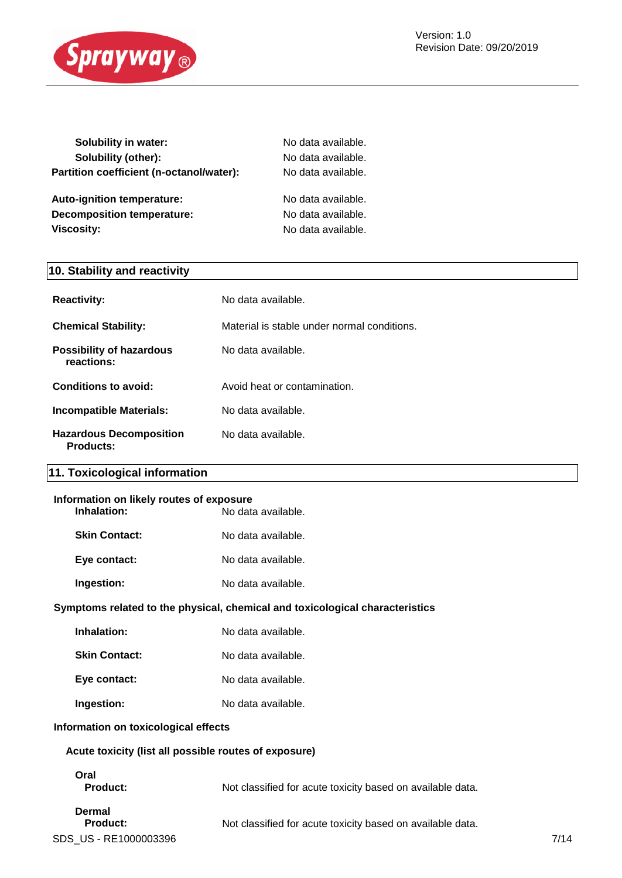

| <b>Solubility in water:</b>              | No data available. |
|------------------------------------------|--------------------|
| Solubility (other):                      | No data available. |
| Partition coefficient (n-octanol/water): | No data available. |
| <b>Auto-ignition temperature:</b>        | No data available. |
| <b>Decomposition temperature:</b>        | No data available. |
| Viscosity:                               | No data available. |
|                                          |                    |

# **10. Stability and reactivity**

| <b>Reactivity:</b>                                 | No data available.                          |
|----------------------------------------------------|---------------------------------------------|
| <b>Chemical Stability:</b>                         | Material is stable under normal conditions. |
| <b>Possibility of hazardous</b><br>reactions:      | No data available.                          |
| Conditions to avoid:                               | Avoid heat or contamination.                |
| Incompatible Materials:                            | No data available.                          |
| <b>Hazardous Decomposition</b><br><b>Products:</b> | No data available.                          |

# **11. Toxicological information**

| Information on likely routes of exposure |                    |  |
|------------------------------------------|--------------------|--|
| Inhalation:                              | No data available. |  |
| <b>Skin Contact:</b>                     | No data available. |  |
| Eye contact:                             | No data available. |  |
| Ingestion:                               | No data available. |  |

#### **Symptoms related to the physical, chemical and toxicological characteristics**

| Inhalation:          | No data available. |
|----------------------|--------------------|
| <b>Skin Contact:</b> | No data available. |
| Eye contact:         | No data available. |
| Ingestion:           | No data available. |

# **Information on toxicological effects**

|  |  |  |  |  | Acute toxicity (list all possible routes of exposure) |  |
|--|--|--|--|--|-------------------------------------------------------|--|
|--|--|--|--|--|-------------------------------------------------------|--|

| Oral          |
|---------------|
| <b>Produc</b> |

**Product:** Not classified for acute toxicity based on available data.

**Product:** Not classified for acute toxicity based on available data.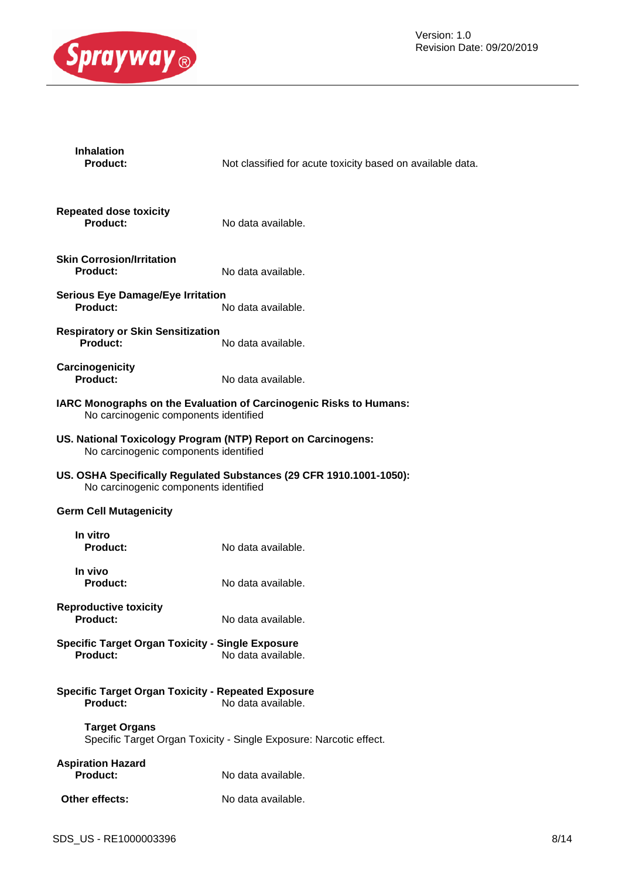

| <b>Inhalation</b><br>Product:                                                                         | Not classified for acute toxicity based on available data.          |  |
|-------------------------------------------------------------------------------------------------------|---------------------------------------------------------------------|--|
| <b>Repeated dose toxicity</b><br><b>Product:</b>                                                      | No data available.                                                  |  |
| <b>Skin Corrosion/Irritation</b><br><b>Product:</b>                                                   | No data available.                                                  |  |
| <b>Serious Eye Damage/Eye Irritation</b><br><b>Product:</b>                                           | No data available.                                                  |  |
| <b>Respiratory or Skin Sensitization</b><br><b>Product:</b>                                           | No data available.                                                  |  |
| Carcinogenicity<br><b>Product:</b>                                                                    | No data available.                                                  |  |
| No carcinogenic components identified                                                                 | IARC Monographs on the Evaluation of Carcinogenic Risks to Humans:  |  |
| US. National Toxicology Program (NTP) Report on Carcinogens:<br>No carcinogenic components identified |                                                                     |  |
| No carcinogenic components identified                                                                 | US. OSHA Specifically Regulated Substances (29 CFR 1910.1001-1050): |  |
| <b>Germ Cell Mutagenicity</b>                                                                         |                                                                     |  |
| In vitro<br><b>Product:</b>                                                                           | No data available.                                                  |  |
| In vivo<br><b>Product:</b>                                                                            | No data available.                                                  |  |
| <b>Reproductive toxicity</b><br><b>Product:</b>                                                       | No data available.                                                  |  |
| <b>Specific Target Organ Toxicity - Single Exposure</b><br>Product:                                   | No data available.                                                  |  |
| <b>Specific Target Organ Toxicity - Repeated Exposure</b><br><b>Product:</b>                          | No data available.                                                  |  |
| <b>Target Organs</b>                                                                                  | Specific Target Organ Toxicity - Single Exposure: Narcotic effect.  |  |
| <b>Aspiration Hazard</b><br><b>Product:</b>                                                           | No data available.                                                  |  |
| Other effects:                                                                                        | No data available.                                                  |  |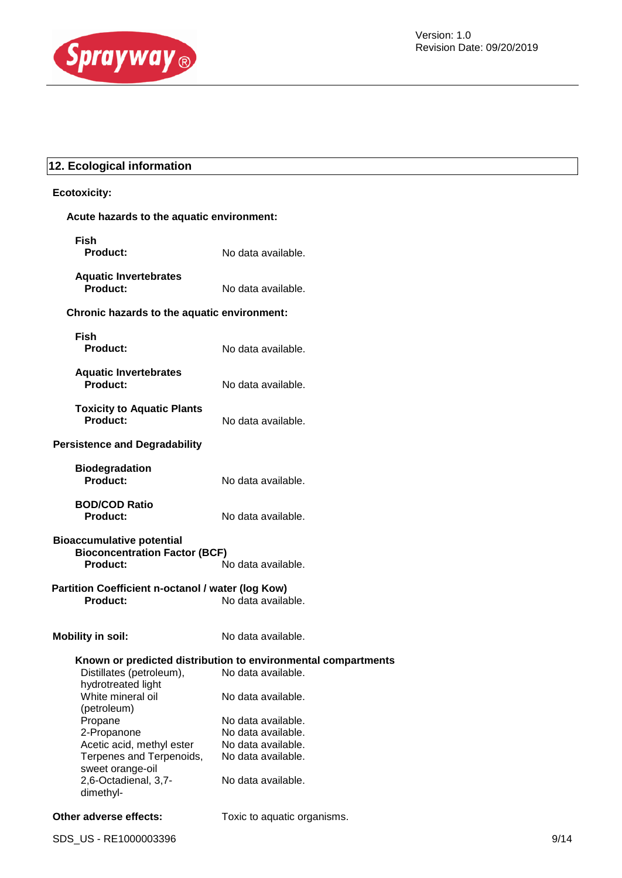

# **12. Ecological information**

# **Ecotoxicity:**

|  |  | Acute hazards to the aquatic environment: |
|--|--|-------------------------------------------|
|  |  |                                           |

| <b>Fish</b><br>Product:                                                                                                                                                                                                        | No data available.                                                                                                                                                                                                      |
|--------------------------------------------------------------------------------------------------------------------------------------------------------------------------------------------------------------------------------|-------------------------------------------------------------------------------------------------------------------------------------------------------------------------------------------------------------------------|
| <b>Aquatic Invertebrates</b><br>Product:                                                                                                                                                                                       | No data available.                                                                                                                                                                                                      |
| Chronic hazards to the aquatic environment:                                                                                                                                                                                    |                                                                                                                                                                                                                         |
| <b>Fish</b><br>Product:                                                                                                                                                                                                        | No data available.                                                                                                                                                                                                      |
| <b>Aquatic Invertebrates</b><br>Product:                                                                                                                                                                                       | No data available.                                                                                                                                                                                                      |
| <b>Toxicity to Aquatic Plants</b><br>Product:                                                                                                                                                                                  | No data available.                                                                                                                                                                                                      |
| <b>Persistence and Degradability</b>                                                                                                                                                                                           |                                                                                                                                                                                                                         |
| <b>Biodegradation</b><br><b>Product:</b>                                                                                                                                                                                       | No data available.                                                                                                                                                                                                      |
| <b>BOD/COD Ratio</b><br>Product:                                                                                                                                                                                               | No data available.                                                                                                                                                                                                      |
| <b>Bioaccumulative potential</b><br><b>Bioconcentration Factor (BCF)</b><br><b>Product:</b>                                                                                                                                    | No data available.                                                                                                                                                                                                      |
| Partition Coefficient n-octanol / water (log Kow)<br>Product:                                                                                                                                                                  | No data available.                                                                                                                                                                                                      |
| <b>Mobility in soil:</b>                                                                                                                                                                                                       | No data available.                                                                                                                                                                                                      |
| Distillates (petroleum),<br>hydrotreated light<br>White mineral oil<br>(petroleum)<br>Propane<br>2-Propanone<br>Acetic acid, methyl ester<br>Terpenes and Terpenoids,<br>sweet orange-oil<br>2,6-Octadienal, 3,7-<br>dimethyl- | Known or predicted distribution to environmental compartments<br>No data available.<br>No data available.<br>No data available.<br>No data available.<br>No data available.<br>No data available.<br>No data available. |
| Other adverse effects:                                                                                                                                                                                                         | Toxic to aquatic organisms.                                                                                                                                                                                             |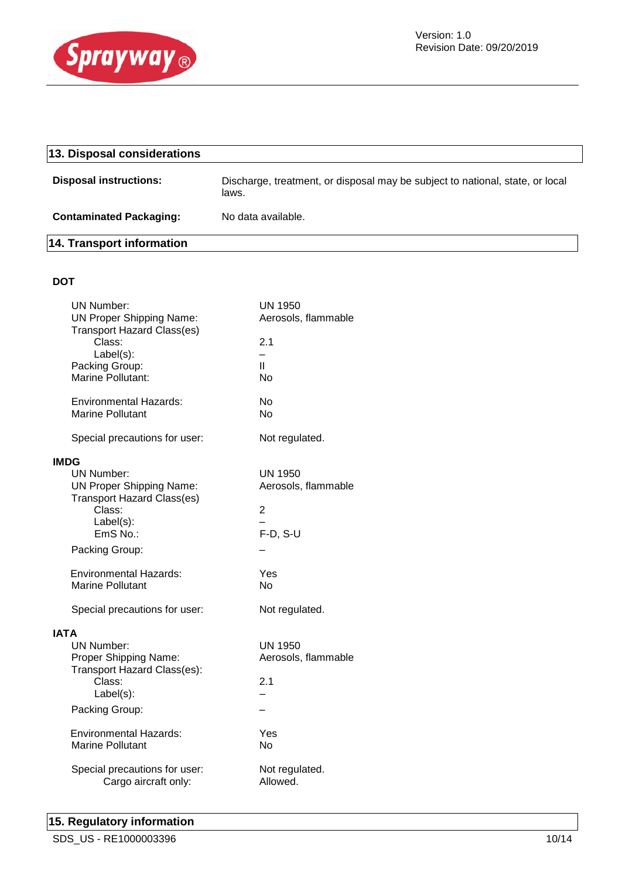

| 13. Disposal considerations    |                                                                                        |
|--------------------------------|----------------------------------------------------------------------------------------|
| <b>Disposal instructions:</b>  | Discharge, treatment, or disposal may be subject to national, state, or local<br>laws. |
| <b>Contaminated Packaging:</b> | No data available.                                                                     |

# **14. Transport information**

# **DOT**

| <b>UN Number:</b>                     | UN 1950                  |
|---------------------------------------|--------------------------|
| <b>UN Proper Shipping Name:</b>       | Aerosols, flammable      |
| <b>Transport Hazard Class(es)</b>     |                          |
| Class:                                | 2.1                      |
| Label(s):                             | $\overline{\phantom{0}}$ |
| Packing Group:                        | $\mathbf{H}$             |
| Marine Pollutant:                     | <b>No</b>                |
| Environmental Hazards:                | No                       |
| <b>Marine Pollutant</b>               | No                       |
| Special precautions for user:         | Not regulated.           |
| <b>IMDG</b>                           |                          |
| <b>UN Number:</b>                     | <b>UN 1950</b>           |
| <b>UN Proper Shipping Name:</b>       | Aerosols, flammable      |
| <b>Transport Hazard Class(es)</b>     |                          |
| Class:                                | 2                        |
| Label(s):                             |                          |
| EmS No.:                              | $F-D, S-U$               |
| Packing Group:                        |                          |
| <b>Environmental Hazards:</b>         | Yes                      |
| <b>Marine Pollutant</b>               | No.                      |
|                                       |                          |
| Special precautions for user:         | Not regulated.           |
| IATA                                  |                          |
| UN Number:                            | UN 1950                  |
| Proper Shipping Name:                 | Aerosols, flammable      |
| Transport Hazard Class(es):<br>Class: | 2.1                      |
| $Label(s)$ :                          |                          |
|                                       |                          |
| Packing Group:                        |                          |
| <b>Environmental Hazards:</b>         | Yes                      |
| <b>Marine Pollutant</b>               | No.                      |
|                                       |                          |
| Special precautions for user:         | Not regulated.           |
| Cargo aircraft only:                  | Allowed.                 |
|                                       |                          |

# **15. Regulatory information**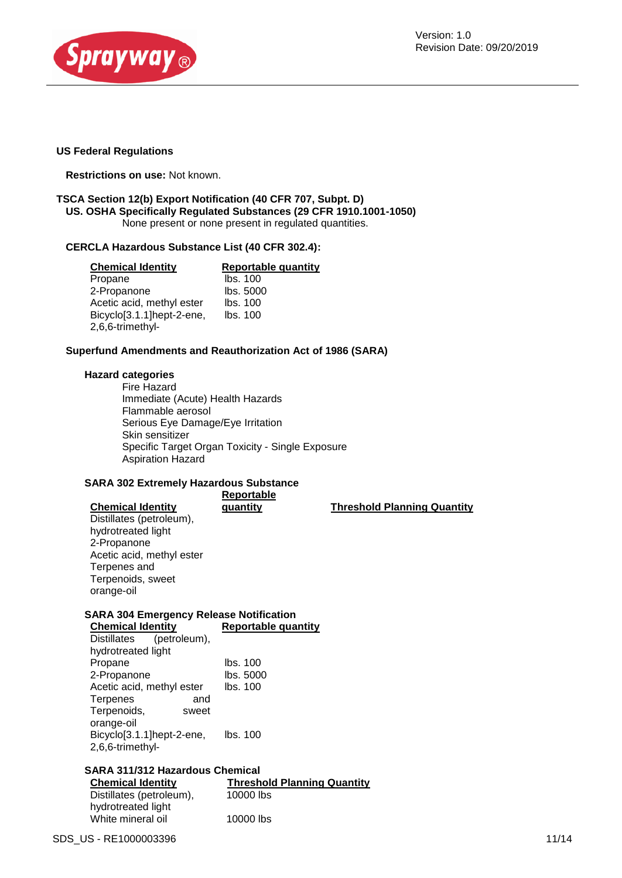

#### **US Federal Regulations**

**Restrictions on use:** Not known.

#### **TSCA Section 12(b) Export Notification (40 CFR 707, Subpt. D) US. OSHA Specifically Regulated Substances (29 CFR 1910.1001-1050)** None present or none present in regulated quantities.

#### **CERCLA Hazardous Substance List (40 CFR 302.4):**

| <b>Chemical Identity</b>  | Reportable quantity |
|---------------------------|---------------------|
| Propane                   | Ibs. 100            |
| 2-Propanone               | lbs. 5000           |
| Acetic acid, methyl ester | lbs. 100            |
| Bicyclo[3.1.1]hept-2-ene, | lbs. 100            |
| 2,6,6-trimethyl-          |                     |

#### **Superfund Amendments and Reauthorization Act of 1986 (SARA)**

#### **Hazard categories**

Fire Hazard Immediate (Acute) Health Hazards Flammable aerosol Serious Eye Damage/Eye Irritation Skin sensitizer Specific Target Organ Toxicity - Single Exposure Aspiration Hazard

#### **SARA 302 Extremely Hazardous Substance**

| <b>Chemical Identity</b>  | Reportable<br>quantity | <b>Threshold Planning Quantity</b> |
|---------------------------|------------------------|------------------------------------|
| Distillates (petroleum),  |                        |                                    |
| hydrotreated light        |                        |                                    |
| 2-Propanone               |                        |                                    |
| Acetic acid, methyl ester |                        |                                    |
| Terpenes and              |                        |                                    |
| Terpenoids, sweet         |                        |                                    |
| orange-oil                |                        |                                    |
|                           |                        |                                    |

# **SARA 304 Emergency Release Notification**

| <b>Chemical Identity</b>    | <b>Reportable quantity</b> |
|-----------------------------|----------------------------|
| (petroleum),<br>Distillates |                            |
| hydrotreated light          |                            |
| Propane                     | lbs. 100                   |
| 2-Propanone                 | lbs. 5000                  |
| Acetic acid, methyl ester   | lbs. 100                   |
| Terpenes<br>and             |                            |
| Terpenoids,<br>sweet        |                            |
| orange-oil                  |                            |
| Bicyclo[3.1.1]hept-2-ene,   | lbs. 100                   |
| 2,6,6-trimethyl-            |                            |
|                             |                            |

# **SARA 311/312 Hazardous Chemical**

**Chemical Identity Threshold Planning Quantity** Distillates (petroleum), hydrotreated light 10000 lbs White mineral oil 10000 lbs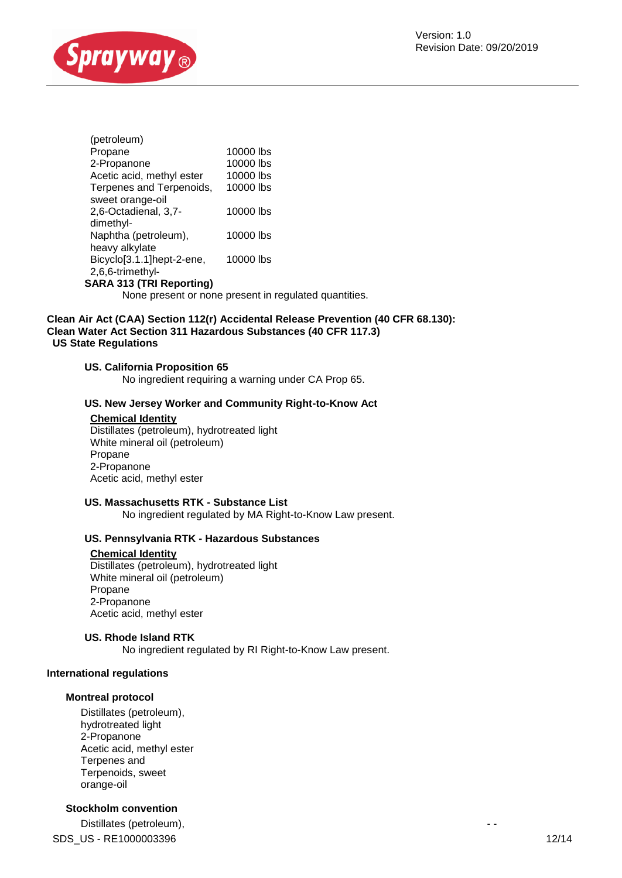

| (petroleum)               |           |
|---------------------------|-----------|
| Propane                   | 10000 lbs |
| 2-Propanone               | 10000 lbs |
| Acetic acid, methyl ester | 10000 lbs |
| Terpenes and Terpenoids,  | 10000 lbs |
| sweet orange-oil          |           |
| 2,6-Octadienal, 3,7-      | 10000 lbs |
| dimethyl-                 |           |
| Naphtha (petroleum),      | 10000 lbs |
| heavy alkylate            |           |
| Bicyclo[3.1.1]hept-2-ene, | 10000 lbs |
| 2,6,6-trimethyl-          |           |

#### **SARA 313 (TRI Reporting)**

None present or none present in regulated quantities.

#### **Clean Air Act (CAA) Section 112(r) Accidental Release Prevention (40 CFR 68.130): Clean Water Act Section 311 Hazardous Substances (40 CFR 117.3) US State Regulations**

#### **US. California Proposition 65**

No ingredient requiring a warning under CA Prop 65.

#### **US. New Jersey Worker and Community Right-to-Know Act**

#### **Chemical Identity**

Distillates (petroleum), hydrotreated light White mineral oil (petroleum) Propane 2-Propanone Acetic acid, methyl ester

#### **US. Massachusetts RTK - Substance List**

No ingredient regulated by MA Right-to-Know Law present.

#### **US. Pennsylvania RTK - Hazardous Substances**

#### **Chemical Identity**

Distillates (petroleum), hydrotreated light White mineral oil (petroleum) Propane 2-Propanone Acetic acid, methyl ester

#### **US. Rhode Island RTK**

No ingredient regulated by RI Right-to-Know Law present.

#### **International regulations**

#### **Montreal protocol**

Distillates (petroleum), hydrotreated light 2-Propanone Acetic acid, methyl ester Terpenes and Terpenoids, sweet orange-oil

## **Stockholm convention**

SDS US - RE1000003396 12/14 Distillates (petroleum), the contract of the contract of the contract of the contract of the contract of the contract of the contract of the contract of the contract of the contract of the contract of the contract of the c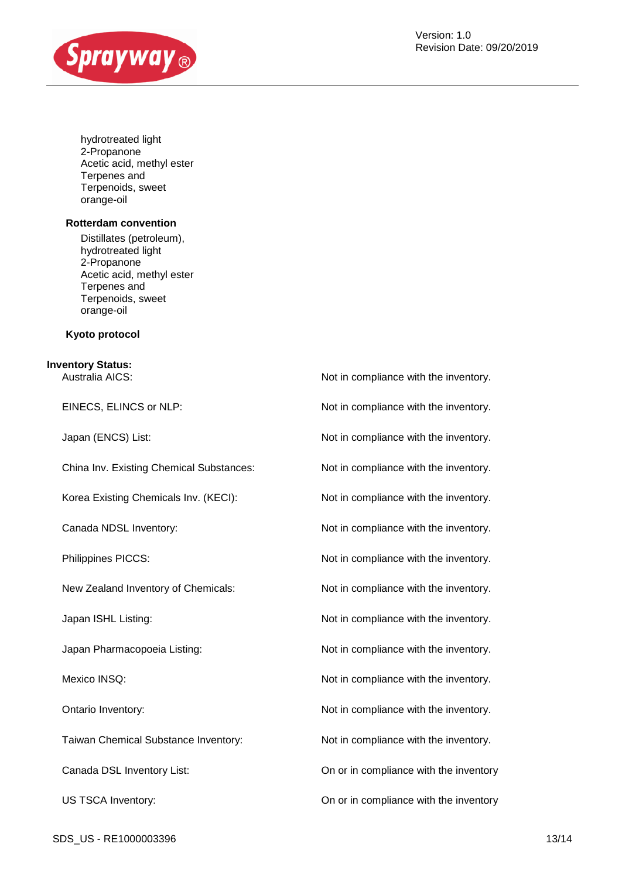

hydrotreated light 2-Propanone Acetic acid, methyl ester Terpenes and Terpenoids, sweet orange-oil

#### **Rotterdam convention**

Distillates (petroleum), hydrotreated light 2-Propanone Acetic acid, methyl ester Terpenes and Terpenoids, sweet orange-oil

#### **Kyoto protocol**

# **Inventory Status:**

Australia AICS: Not in compliance with the inventory. EINECS, ELINCS or NLP: Not in compliance with the inventory. Japan (ENCS) List:  $\blacksquare$  Not in compliance with the inventory. China Inv. Existing Chemical Substances: Not in compliance with the inventory. Korea Existing Chemicals Inv. (KECI): Not in compliance with the inventory. Canada NDSL Inventory:  $\blacksquare$  Not in compliance with the inventory. Philippines PICCS:  $\blacksquare$  Not in compliance with the inventory. New Zealand Inventory of Chemicals: Not in compliance with the inventory. Japan ISHL Listing:  $\blacksquare$  Not in compliance with the inventory. Japan Pharmacopoeia Listing: Not in compliance with the inventory. Mexico INSQ: Mexico INSQ: Not in compliance with the inventory. Ontario Inventory:  $\blacksquare$  Not in compliance with the inventory. Taiwan Chemical Substance Inventory: Not in compliance with the inventory. Canada DSL Inventory List: On or in compliance with the inventory US TSCA Inventory: On or in compliance with the inventory

SDS US - RE1000003396 13/14